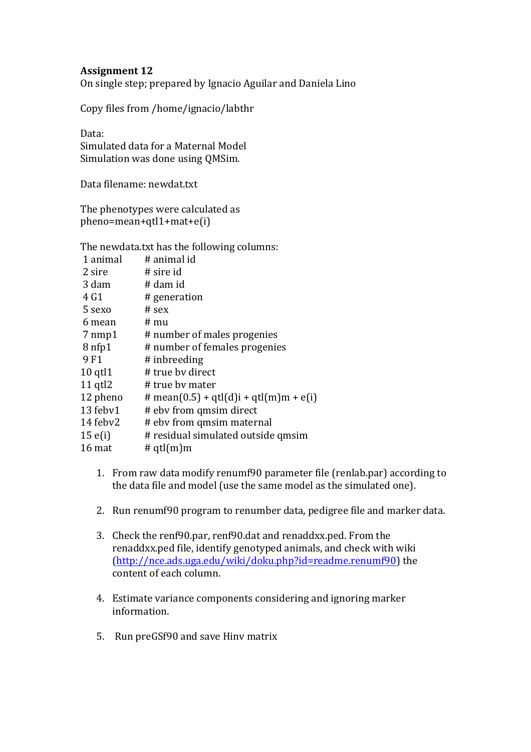## **Assignment 12**

On single step; prepared by Ignacio Aguilar and Daniela Lino

Copy files from /home/ignacio/labthr

Data: 

Simulated data for a Maternal Model Simulation was done using QMSim.

Data filename: newdat.txt

The phenotypes were calculated as pheno=mean+qtl1+mat+e(i)

The newdata.txt has the following columns:

| 1 animal          | # animal id                            |
|-------------------|----------------------------------------|
| 2 sire            | # sire id                              |
| 3 dam             | # dam id                               |
| 4 G1              | # generation                           |
| 5 sexo            | $#$ sex                                |
| 6 mean            | # mu                                   |
| $7 \text{ nmp1}$  | # number of males progenies            |
| 8 <sub>nfp1</sub> | # number of females progenies          |
| 9F1               | # inbreeding                           |
| $10$ qtl $1$      | # true by direct                       |
| $11$ qtl $2$      | # true by mater                        |
| 12 pheno          | # mean(0.5) + qtl(d)i + qtl(m)m + e(i) |
| 13 febv1          | # ebv from qmsim direct                |
| 14 febv2          | # ebv from qmsim maternal              |
| $15 \text{ e(i)}$ | # residual simulated outside qmsim     |
| 16 mat            | # $qtl(m)m$                            |
|                   |                                        |

- 1. From raw data modify renumf90 parameter file (renlab.par) according to the data file and model (use the same model as the simulated one).
- 2. Run renumf90 program to renumber data, pedigree file and marker data.
- 3. Check the renf90.par, renf90.dat and renaddxx.ped. From the renaddxx.ped file, identify genotyped animals, and check with wiki (http://nce.ads.uga.edu/wiki/doku.php?id=readme.renumf90) the content of each column.
- 4. Estimate variance components considering and ignoring marker information.
- 5. Run preGSf90 and save Hinv matrix